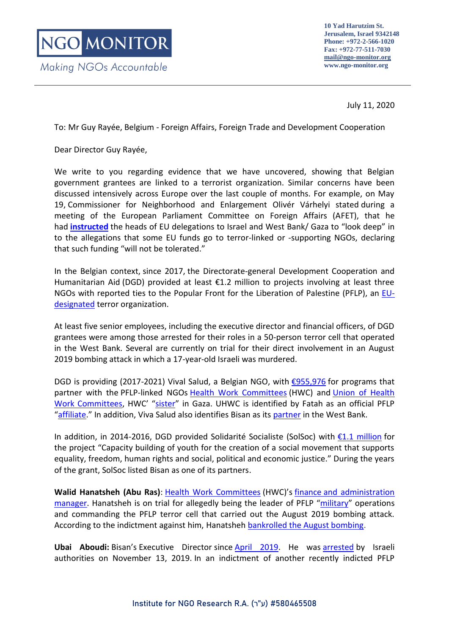Making NGOs Accountable

## July 11, 2020

To: Mr Guy Rayée, Belgium - Foreign Affairs, Foreign Trade and Development Cooperation

Dear Director Guy Rayée,

We write to you regarding evidence that we have uncovered, showing that Belgian government grantees are linked to a terrorist organization. Similar concerns have been discussed intensively across Europe over the last couple of months. For example, on May 19, Commissioner for Neighborhood and Enlargement Olivér Várhelyi stated during a meeting of the European Parliament Committee on Foreign Affairs (AFET), that he had **[instructed](https://multimedia.europarl.europa.eu/en/afet-committee_20200519-1630-COMMITTEE-AFET_vd)** the heads of EU delegations to Israel and West Bank/ Gaza to "look deep" in to the allegations that some EU funds go to terror-linked or -supporting NGOs, declaring that such funding "will not be tolerated."

In the Belgian context, since 2017, the Directorate-general Development Cooperation and Humanitarian Aid (DGD) provided at least  $\epsilon$ 1.2 million to projects involving at least three NGOs with reported ties to the Popular Front for the Liberation of Palestine (PFLP), an [EU](https://eur-lex.europa.eu/legal-content/EN/TXT/PDF/?uri=CELEX:32020D0020&qid=1581336812001&from=EN)[designated](https://eur-lex.europa.eu/legal-content/EN/TXT/PDF/?uri=CELEX:32020D0020&qid=1581336812001&from=EN) terror organization.

At least five senior employees, including the executive director and financial officers, of DGD grantees were among those arrested for their roles in a 50-person terror cell that operated in the West Bank. Several are currently on trial for their direct involvement in an August 2019 bombing attack in which a 17-year-old Israeli was murdered.

DGD is providing (2017-2021) Vival Salud, a Belgian NGO, with [€955,976](https://openaid.be/fr/active-projects?recipient_country=3187&participating_organisation%5B%5D=4582&sdg=All&transaction_date_year%5B%5D=3744&transaction_date_year%5B%5D=3745&transaction_date_year%5B%5D=1909&field_activity_status_target_id=All) for programs that partner with the PFLP-linked NGOs [Health Work Committees](https://www.ngo-monitor.org/reports/health-work-committees-ties-to-the-pflp-terror-group/) (HWC) and [Union of Health](https://www.ngo-monitor.org/reports/union-of-health-work-committees-ties-to-the-pflp-terror-group/)  [Work Committees](https://www.ngo-monitor.org/reports/union-of-health-work-committees-ties-to-the-pflp-terror-group/), HWC' "[sister](https://web.archive.org/web/20190723045046/https:/en.vivasalud.be/partners-palestine)" in Gaza. UHWC is identified by Fatah as an official PFLP "[affiliate](http://fatehorg.ps/?action=show_page&ID=11455&lang=ar)." In addition, Viva Salud also identifies Bisan as its [partner](https://www.vivasalud.be/fr/carte-blanche-le-droit-a-la-sante-et-le-covid19/) in the West Bank.

In addition, in 2014-2016, DGD provided Solidarité Socialiste (SolSoc) with [€1.1 million](https://openaid.be/en/project/xm-dac-2-10-3016710) for the project "Capacity building of youth for the creation of a social movement that supports equality, freedom, human rights and social, political and economic justice." During the years of the grant, SolSoc listed Bisan as one of its partners.

**Walid Hanatsheh (Abu Ras)**: [Health Work Committees](https://www.ngo-monitor.org/reports/health-work-committees-ties-to-the-pflp-terror-group/) (HWC)'s [finance](http://www.hwc-pal.org/page.php?id=KSjeZhmmhpa277692AGefB0DvnkU&fbclid=IwAR0trZvqCqEzuvfrefLApfjf3aaiW3ivPJHNDSpgx94YqD5Omxntv4Low3k) and administration manager. Hanatsheh is on trial for allegedly being the leader of PFLP "[military](https://www.shabak.gov.il/publications/Pages/%D7%97%D7%A9%D7%99%D7%A4%D7%AA-%D7%AA%D7%A9%D7%AA%D7%99%D7%AA-%D7%98%D7%A8%D7%95%D7%A8-%D7%A0%D7%A8%D7%97%D7%91%D7%AA-%D7%A9%D7%9C-%D7%94%D7%97%D7%96%D7%99%D7%AA-%D7%94%D7%A2%D7%9E%D7%9E%D7%99%D7%AA-%D7%A9%D7%A4%D7%A2%D7%9C%D7%94-%D7%91%D7%90%D7%99%D7%95%D7%A9-.aspx)" operations and commanding the PFLP terror cell that carried out the August 2019 bombing attack. According to the indictment against him, Hanatsheh [bankrolled the August bombing.](https://www.mako.co.il/news-military/2019_q4/Article-dff558c3b681f61026.htm?Partner=searchResults)

**Ubai Aboudi:** Bisan's Executive Director since [April 2019.](https://www.linkedin.com/in/ubai-al-aboudi-a2b2b59b/) He was [arrested](https://bisan.org/bisan-center-for-research-and-development-denounces-the-arrest-of-its-director-ubai-aboudi/) by Israeli authorities on November 13, 2019. In an indictment of another recently indicted PFLP